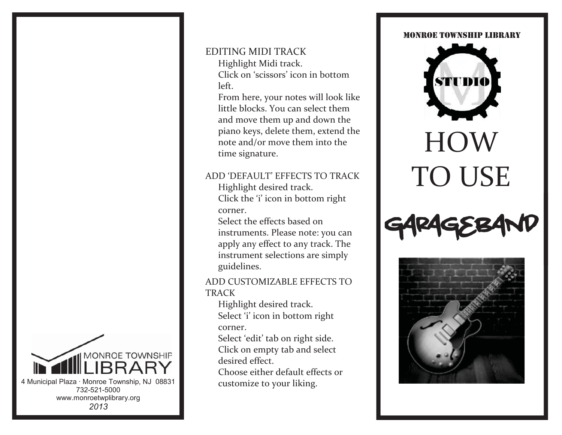### **MONROE TOWNSHIP** 4 Municipal Plaza · Monroe Township, NJ 08831 732-521-5000 www.monroetwplibrary.org *2013*

#### EDITING MIDI TRACK

 Highlight Midi track. Click on 'scissors' icon in bottom left.

 From here, your notes will look like little blocks. You can select them and move them up and down the piano keys, delete them, extend the note and/or move them into the time signature.

#### ADD 'DEFAULT' EFFECTS TO TRACK

 Highlight desired track. Click the 'i' icon in bottom right corner.

 Select the effects based on instruments. Please note: you can apply any effect to any track. The instrument selections are simply guidelines.

ADD CUSTOMIZABLE EFFECTS TO TRACK

 Highlight desired track. Select 'i' icon in bottom right corner.

 Select 'edit' tab on right side. Click on empty tab and select desired effect.

 Choose either default effects or customize to your liking.

#### MONROE TOWNSHIP LIBRARY



# HOW TO USE